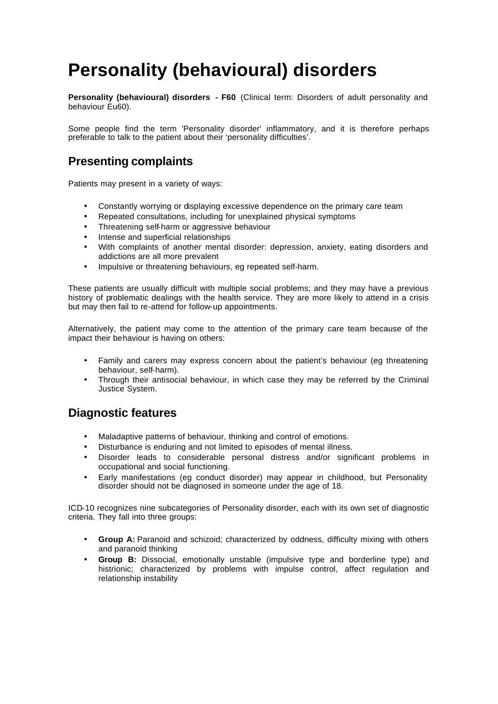# **Personality (behavioural) disorders**

**Personality (behavioural) disorders - F60** (Clinical term: Disorders of adult personality and behaviour Eu60).

Some people find the term 'Personality disorder' inflammatory, and it is therefore perhaps preferable to talk to the patient about their 'personality difficulties'.

# **Presenting complaints**

Patients may present in a variety of ways:

- Constantly worrying or displaying excessive dependence on the primary care team
- Repeated consultations, including for unexplained physical symptoms
- Threatening self-harm or aggressive behaviour
- Intense and superficial relationships
- With complaints of another mental disorder: depression, anxiety, eating disorders and addictions are all more prevalent
- Impulsive or threatening behaviours, eg repeated self-harm.

These patients are usually difficult with multiple social problems; and they may have a previous history of problematic dealings with the health service. They are more likely to attend in a crisis but may then fail to re-attend for follow-up appointments.

Alternatively, the patient may come to the attention of the primary care team because of the impact their behaviour is having on others:

- Family and carers may express concern about the patient's behaviour (eg threatening behaviour, self-harm).
- Through their antisocial behaviour, in which case they may be referred by the Criminal Justice System.

### **Diagnostic features**

- Maladaptive patterns of behaviour, thinking and control of emotions.
- Disturbance is enduring and not limited to episodes of mental illness.
- Disorder leads to considerable personal distress and/or significant problems in occupational and social functioning.
- Early manifestations (eg conduct disorder) may appear in childhood, but Personality disorder should not be diagnosed in someone under the age of 18.

ICD-10 recognizes nine subcategories of Personality disorder, each with its own set of diagnostic criteria. They fall into three groups:

- **Group A:** Paranoid and schizoid; characterized by oddness, difficulty mixing with others and paranoid thinking
- **Group B:** Dissocial, emotionally unstable (impulsive type and borderline type) and histrionic; characterized by problems with impulse control, affect regulation and relationship instability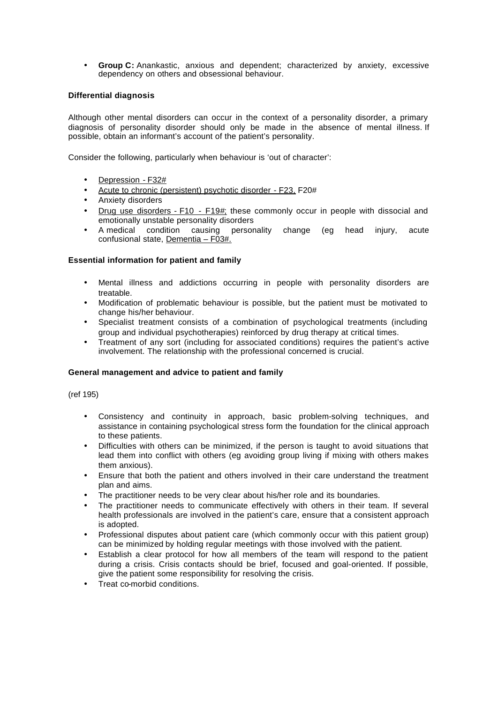• **Group C:** Anankastic, anxious and dependent; characterized by anxiety, excessive dependency on others and obsessional behaviour.

### **Differential diagnosis**

Although other mental disorders can occur in the context of a personality disorder, a primary diagnosis of personality disorder should only be made in the absence of mental illness. If possible, obtain an informant's account of the patient's personality.

Consider the following, particularly when behaviour is 'out of character':

- Depression F32#
- Acute to chronic (persistent) psychotic disorder F23, F20#
- Anxiety disorders
- Drug use disorders F10 F19#; these commonly occur in people with dissocial and emotionally unstable personality disorders
- A medical condition causing personality change (eg head injury, acute confusional state, Dementia - F03#.

### **Essential information for patient and family**

- Mental illness and addictions occurring in people with personality disorders are treatable.
- Modification of problematic behaviour is possible, but the patient must be motivated to change his/her behaviour.
- Specialist treatment consists of a combination of psychological treatments (including group and individual psychotherapies) reinforced by drug therapy at critical times.
- Treatment of any sort (including for associated conditions) requires the patient's active involvement. The relationship with the professional concerned is crucial.

### **General management and advice to patient and family**

(ref 195)

- Consistency and continuity in approach, basic problem-solving techniques, and assistance in containing psychological stress form the foundation for the clinical approach to these patients.
- Difficulties with others can be minimized, if the person is taught to avoid situations that lead them into conflict with others (eg avoiding group living if mixing with others makes them anxious).
- Ensure that both the patient and others involved in their care understand the treatment plan and aims.
- The practitioner needs to be very clear about his/her role and its boundaries.
- The practitioner needs to communicate effectively with others in their team. If several health professionals are involved in the patient's care, ensure that a consistent approach is adopted.
- Professional disputes about patient care (which commonly occur with this patient group) can be minimized by holding regular meetings with those involved with the patient.
- Establish a clear protocol for how all members of the team will respond to the patient during a crisis. Crisis contacts should be brief, focused and goal-oriented. If possible, give the patient some responsibility for resolving the crisis.
- Treat co-morbid conditions.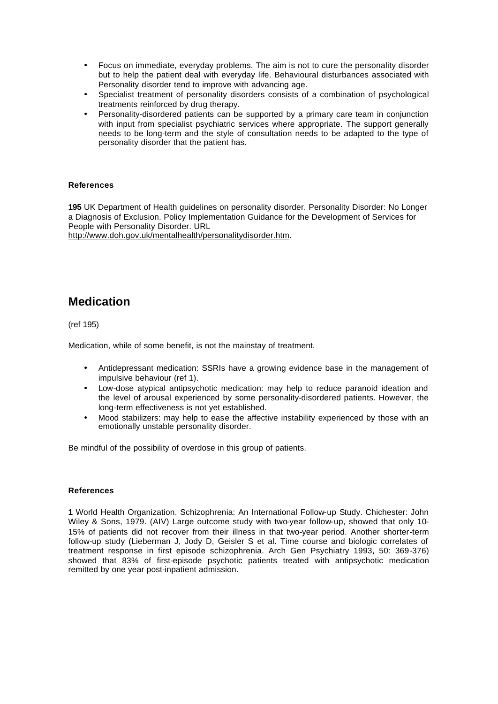- Focus on immediate, everyday problems. The aim is not to cure the personality disorder but to help the patient deal with everyday life. Behavioural disturbances associated with Personality disorder tend to improve with advancing age.
- Specialist treatment of personality disorders consists of a combination of psychological treatments reinforced by drug therapy.
- Personality-disordered patients can be supported by a primary care team in conjunction with input from specialist psychiatric services where appropriate. The support generally needs to be long-term and the style of consultation needs to be adapted to the type of personality disorder that the patient has.

### **References**

**195** UK Department of Health guidelines on personality disorder. Personality Disorder: No Longer a Diagnosis of Exclusion. Policy Implementation Guidance for the Development of Services for People with Personality Disorder. URL

http://www.doh.gov.uk/mentalhealth/personalitydisorder.htm.

### **Medication**

(ref 195)

Medication, while of some benefit, is not the mainstay of treatment.

- Antidepressant medication: SSRIs have a growing evidence base in the management of impulsive behaviour (ref 1).
- Low-dose atypical antipsychotic medication: may help to reduce paranoid ideation and the level of arousal experienced by some personality-disordered patients. However, the long-term effectiveness is not yet established.
- Mood stabilizers: may help to ease the affective instability experienced by those with an emotionally unstable personality disorder.

Be mindful of the possibility of overdose in this group of patients.

### **References**

**1** World Health Organization. Schizophrenia: An International Follow-up Study. Chichester: John Wiley & Sons, 1979. (AIV) Large outcome study with two-year follow-up, showed that only 10- 15% of patients did not recover from their illness in that two-year period. Another shorter-term follow-up study (Lieberman J, Jody D, Geisler S et al. Time course and biologic correlates of treatment response in first episode schizophrenia. Arch Gen Psychiatry 1993, 50: 369-376) showed that 83% of first-episode psychotic patients treated with antipsychotic medication remitted by one year post-inpatient admission.